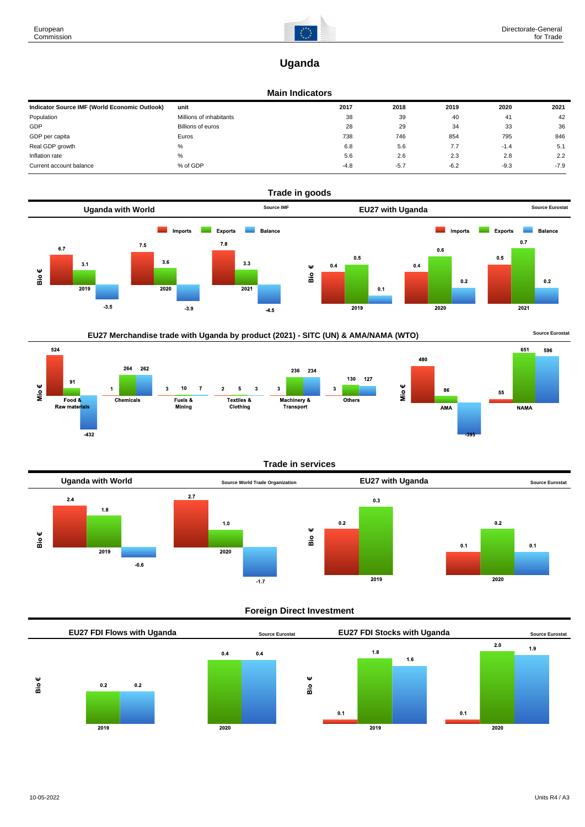

# **Uganda**

# **Main Indicators**

| Indicator Source IMF (World Economic Outlook) | unit                    | 2017   | 2018   | 2019   | 2020   | 2021   |
|-----------------------------------------------|-------------------------|--------|--------|--------|--------|--------|
| Population                                    | Millions of inhabitants | 38     | 39     | 40     | 41     | 42     |
| GDP                                           | Billions of euros       | 28     | 29     | 34     | 33     | 36     |
| GDP per capita                                | Euros                   | 738    | 746    | 854    | 795    | 846    |
| Real GDP growth                               | %                       | 6.8    | 5.6    | 7.7    | $-1.4$ | 5.1    |
| Inflation rate                                | %                       | 5.6    | 2.6    | 2.3    | 2.8    | 2.2    |
| Current account balance                       | % of GDP                | $-4.8$ | $-5.7$ | $-6.2$ | $-9.3$ | $-7.9$ |





524 480 264 262 236 234 130 127 91 Mio $\epsilon$ Mio€  $10$  $\sf 5$ 3 3 3  $\overline{7}$  $\overline{\mathbf{3}}$ 86 Textiles &<br>Clothing Fuels &<br>Mining Machinery &  $Food &$ Others Chemicals Raw materials Transport AMA  $-432$ 





# **Trade in services**



# **Foreign Direct Investment**